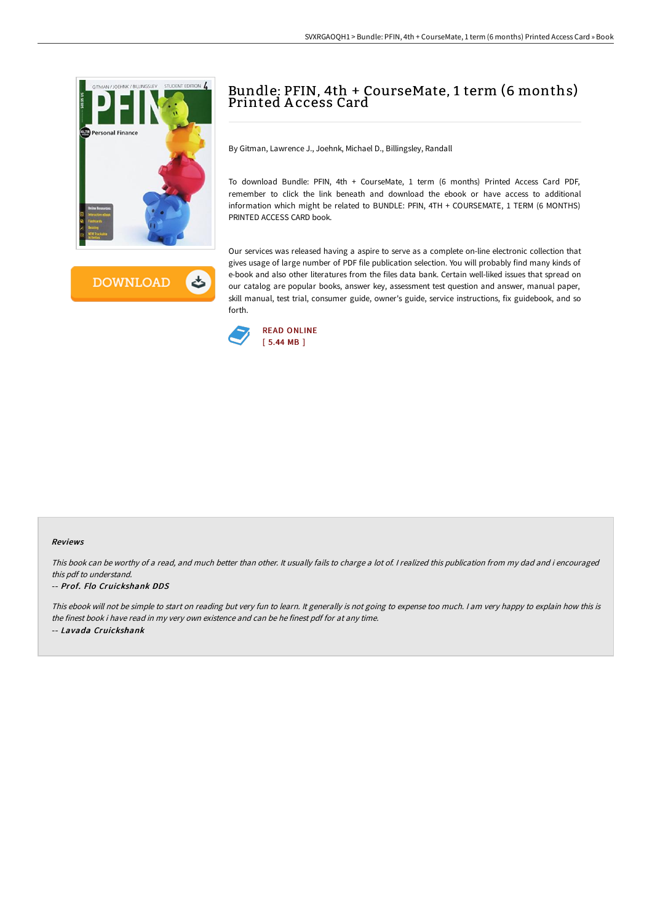



# Bundle: PFIN, 4th + CourseMate, 1 term (6 months) Printed A ccess Card

By Gitman, Lawrence J., Joehnk, Michael D., Billingsley, Randall

To download Bundle: PFIN, 4th + CourseMate, 1 term (6 months) Printed Access Card PDF, remember to click the link beneath and download the ebook or have access to additional information which might be related to BUNDLE: PFIN, 4TH + COURSEMATE, 1 TERM (6 MONTHS) PRINTED ACCESS CARD book.

Our services was released having a aspire to serve as a complete on-line electronic collection that gives usage of large number of PDF file publication selection. You will probably find many kinds of e-book and also other literatures from the files data bank. Certain well-liked issues that spread on our catalog are popular books, answer key, assessment test question and answer, manual paper, skill manual, test trial, consumer guide, owner's guide, service instructions, fix guidebook, and so forth.



#### Reviews

This book can be worthy of <sup>a</sup> read, and much better than other. It usually fails to charge <sup>a</sup> lot of. <sup>I</sup> realized this publication from my dad and i encouraged this pdf to understand.

### -- Prof. Flo Cruickshank DDS

This ebook will not be simple to start on reading but very fun to learn. It generally is not going to expense too much. <sup>I</sup> am very happy to explain how this is the finest book i have read in my very own existence and can be he finest pdf for at any time. -- Lavada Cruickshank